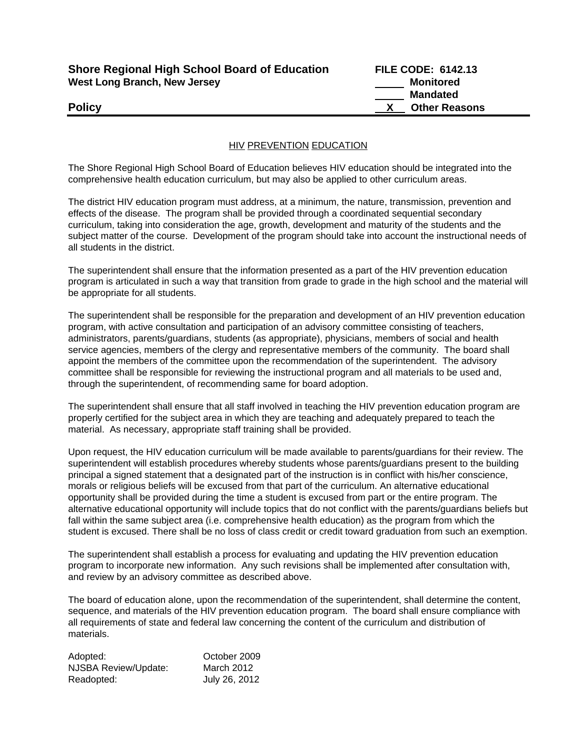| <b>Shore Regional High School Board of Education</b> |  |
|------------------------------------------------------|--|
| <b>West Long Branch, New Jersey</b>                  |  |

**Shore Regional High School Board of Education FILE CODE: 6142.13 Monitored Mandated Policy X Other Reasons** 

## **HIV PREVENTION EDUCATION**

The Shore Regional High School Board of Education believes HIV education should be integrated into the comprehensive health education curriculum, but may also be applied to other curriculum areas.

The district HIV education program must address, at a minimum, the nature, transmission, prevention and effects of the disease. The program shall be provided through a coordinated sequential secondary curriculum, taking into consideration the age, growth, development and maturity of the students and the subject matter of the course. Development of the program should take into account the instructional needs of all students in the district.

The superintendent shall ensure that the information presented as a part of the HIV prevention education program is articulated in such a way that transition from grade to grade in the high school and the material will be appropriate for all students.

The superintendent shall be responsible for the preparation and development of an HIV prevention education program, with active consultation and participation of an advisory committee consisting of teachers, administrators, parents/guardians, students (as appropriate), physicians, members of social and health service agencies, members of the clergy and representative members of the community. The board shall appoint the members of the committee upon the recommendation of the superintendent. The advisory committee shall be responsible for reviewing the instructional program and all materials to be used and, through the superintendent, of recommending same for board adoption.

The superintendent shall ensure that all staff involved in teaching the HIV prevention education program are properly certified for the subject area in which they are teaching and adequately prepared to teach the material. As necessary, appropriate staff training shall be provided.

Upon request, the HIV education curriculum will be made available to parents/guardians for their review. The superintendent will establish procedures whereby students whose parents/guardians present to the building principal a signed statement that a designated part of the instruction is in conflict with his/her conscience, morals or religious beliefs will be excused from that part of the curriculum. An alternative educational opportunity shall be provided during the time a student is excused from part or the entire program. The alternative educational opportunity will include topics that do not conflict with the parents/guardians beliefs but fall within the same subject area (i.e. comprehensive health education) as the program from which the student is excused. There shall be no loss of class credit or credit toward graduation from such an exemption.

The superintendent shall establish a process for evaluating and updating the HIV prevention education program to incorporate new information. Any such revisions shall be implemented after consultation with, and review by an advisory committee as described above.

The board of education alone, upon the recommendation of the superintendent, shall determine the content, sequence, and materials of the HIV prevention education program. The board shall ensure compliance with all requirements of state and federal law concerning the content of the curriculum and distribution of materials.

| Adopted:             | October 2009  |
|----------------------|---------------|
| NJSBA Review/Update: | March 2012    |
| Readopted:           | July 26, 2012 |